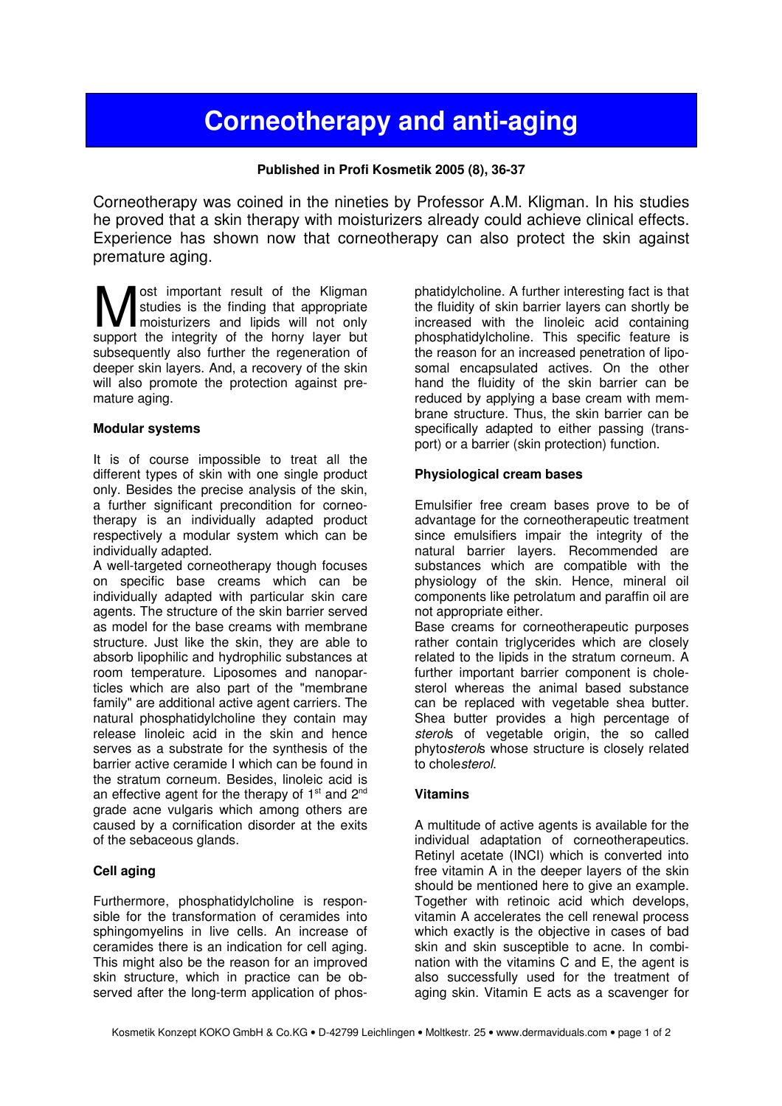# Corneotherapy and anti-aging

Published in Profi Kosmetik 2005 (8), 36-37

Corneotherapy was coined in the nineties by Professor A.M. Kligman. In his studies he proved that a skin therapy with moisturizers already could achieve clinical effects. Experience has shown now that corneotherapy can also protect the skin against premature aging.

ost important result of the Kligman studies is the finding that appropriate moisturizers and lipids will not only **M** ost important result of the Kligman studies is the finding that appropriate moisturizers and lipids will not only support the integrity of the horny layer but subsequently also further the regeneration of deeper skin layers. And, a recovery of the skin will also promote the protection against premature aging.

# Modular systems

It is of course impossible to treat all the different types of skin with one single product only. Besides the precise analysis of the skin, a further significant precondition for corneotherapy is an individually adapted product respectively a modular system which can be individually adapted.

A well-targeted corneotherapy though focuses on specific base creams which can be individually adapted with particular skin care agents. The structure of the skin barrier served as model for the base creams with membrane structure. Just like the skin, they are able to absorb lipophilic and hydrophilic substances at room temperature. Liposomes and nanoparticles which are also part of the "membrane family" are additional active agent carriers. The natural phosphatidylcholine they contain may release linoleic acid in the skin and hence serves as a substrate for the synthesis of the barrier active ceramide I which can be found in the stratum corneum. Besides, linoleic acid is an effective agent for the therapy of  $1<sup>st</sup>$  and  $2<sup>nd</sup>$ grade acne vulgaris which among others are caused by a cornification disorder at the exits of the sebaceous glands.

# Cell aging

Furthermore, phosphatidylcholine is responsible for the transformation of ceramides into sphingomyelins in live cells. An increase of ceramides there is an indication for cell aging. This might also be the reason for an improved skin structure, which in practice can be observed after the long-term application of phosphatidylcholine. A further interesting fact is that the fluidity of skin barrier layers can shortly be increased with the linoleic acid containing phosphatidylcholine. This specific feature is the reason for an increased penetration of liposomal encapsulated actives. On the other hand the fluidity of the skin barrier can be reduced by applying a base cream with membrane structure. Thus, the skin barrier can be specifically adapted to either passing (transport) or a barrier (skin protection) function.

# Physiological cream bases

Emulsifier free cream bases prove to be of advantage for the corneotherapeutic treatment since emulsifiers impair the integrity of the natural barrier layers. Recommended are substances which are compatible with the physiology of the skin. Hence, mineral oil components like petrolatum and paraffin oil are not appropriate either.

Base creams for corneotherapeutic purposes rather contain triglycerides which are closely related to the lipids in the stratum corneum. A further important barrier component is cholesterol whereas the animal based substance can be replaced with vegetable shea butter. Shea butter provides a high percentage of sterols of vegetable origin, the so called phytosterols whose structure is closely related to cholesterol.

# Vitamins

A multitude of active agents is available for the individual adaptation of corneotherapeutics. Retinyl acetate (INCI) which is converted into free vitamin A in the deeper layers of the skin should be mentioned here to give an example. Together with retinoic acid which develops, vitamin A accelerates the cell renewal process which exactly is the objective in cases of bad skin and skin susceptible to acne. In combination with the vitamins C and E, the agent is also successfully used for the treatment of aging skin. Vitamin E acts as a scavenger for